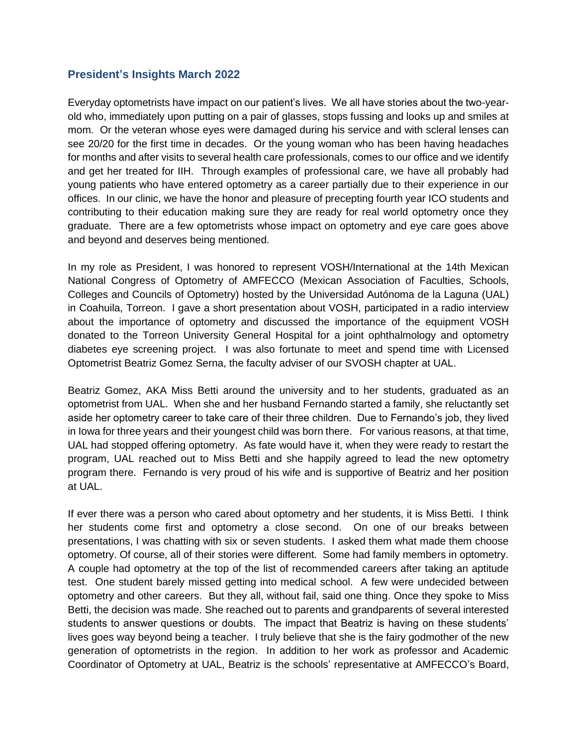## **President's Insights March 2022**

Everyday optometrists have impact on our patient's lives. We all have stories about the two-yearold who, immediately upon putting on a pair of glasses, stops fussing and looks up and smiles at mom. Or the veteran whose eyes were damaged during his service and with scleral lenses can see 20/20 for the first time in decades. Or the young woman who has been having headaches for months and after visits to several health care professionals, comes to our office and we identify and get her treated for IIH. Through examples of professional care, we have all probably had young patients who have entered optometry as a career partially due to their experience in our offices. In our clinic, we have the honor and pleasure of precepting fourth year ICO students and contributing to their education making sure they are ready for real world optometry once they graduate. There are a few optometrists whose impact on optometry and eye care goes above and beyond and deserves being mentioned.

In my role as President, I was honored to represent VOSH/International at the 14th Mexican National Congress of Optometry of AMFECCO (Mexican Association of Faculties, Schools, Colleges and Councils of Optometry) hosted by the Universidad Autónoma de la Laguna (UAL) in Coahuila, Torreon. I gave a short presentation about VOSH, participated in a radio interview about the importance of optometry and discussed the importance of the equipment VOSH donated to the Torreon University General Hospital for a joint ophthalmology and optometry diabetes eye screening project. I was also fortunate to meet and spend time with Licensed Optometrist Beatriz Gomez Serna, the faculty adviser of our SVOSH chapter at UAL.

Beatriz Gomez, AKA Miss Betti around the university and to her students, graduated as an optometrist from UAL. When she and her husband Fernando started a family, she reluctantly set aside her optometry career to take care of their three children. Due to Fernando's job, they lived in Iowa for three years and their youngest child was born there. For various reasons, at that time, UAL had stopped offering optometry. As fate would have it, when they were ready to restart the program, UAL reached out to Miss Betti and she happily agreed to lead the new optometry program there. Fernando is very proud of his wife and is supportive of Beatriz and her position at UAL.

If ever there was a person who cared about optometry and her students, it is Miss Betti. I think her students come first and optometry a close second. On one of our breaks between presentations, I was chatting with six or seven students. I asked them what made them choose optometry. Of course, all of their stories were different. Some had family members in optometry. A couple had optometry at the top of the list of recommended careers after taking an aptitude test. One student barely missed getting into medical school. A few were undecided between optometry and other careers. But they all, without fail, said one thing. Once they spoke to Miss Betti, the decision was made. She reached out to parents and grandparents of several interested students to answer questions or doubts. The impact that Beatriz is having on these students' lives goes way beyond being a teacher. I truly believe that she is the fairy godmother of the new generation of optometrists in the region. In addition to her work as professor and Academic Coordinator of Optometry at UAL, Beatriz is the schools' representative at AMFECCO's Board,